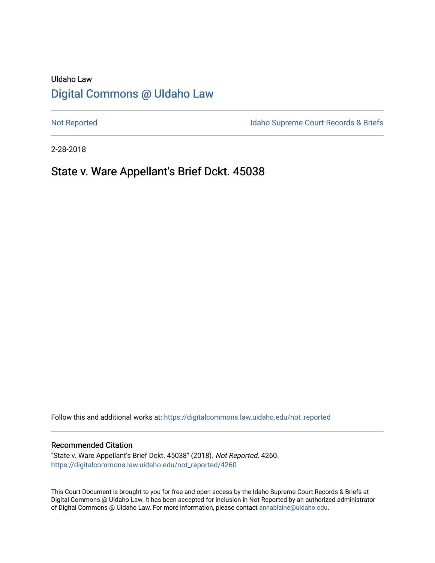# UIdaho Law [Digital Commons @ UIdaho Law](https://digitalcommons.law.uidaho.edu/)

[Not Reported](https://digitalcommons.law.uidaho.edu/not_reported) **Idaho Supreme Court Records & Briefs** 

2-28-2018

## State v. Ware Appellant's Brief Dckt. 45038

Follow this and additional works at: [https://digitalcommons.law.uidaho.edu/not\\_reported](https://digitalcommons.law.uidaho.edu/not_reported?utm_source=digitalcommons.law.uidaho.edu%2Fnot_reported%2F4260&utm_medium=PDF&utm_campaign=PDFCoverPages) 

#### Recommended Citation

"State v. Ware Appellant's Brief Dckt. 45038" (2018). Not Reported. 4260. [https://digitalcommons.law.uidaho.edu/not\\_reported/4260](https://digitalcommons.law.uidaho.edu/not_reported/4260?utm_source=digitalcommons.law.uidaho.edu%2Fnot_reported%2F4260&utm_medium=PDF&utm_campaign=PDFCoverPages)

This Court Document is brought to you for free and open access by the Idaho Supreme Court Records & Briefs at Digital Commons @ UIdaho Law. It has been accepted for inclusion in Not Reported by an authorized administrator of Digital Commons @ UIdaho Law. For more information, please contact [annablaine@uidaho.edu](mailto:annablaine@uidaho.edu).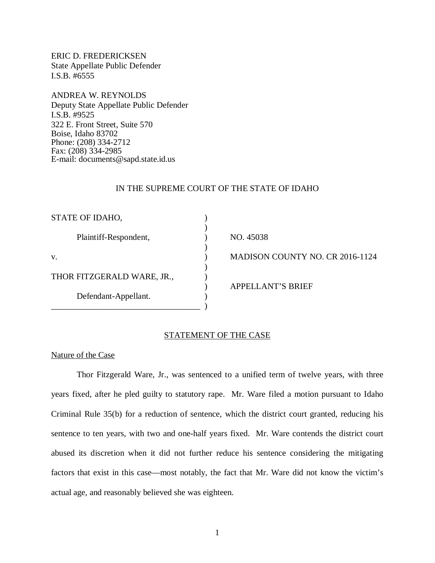ERIC D. FREDERICKSEN State Appellate Public Defender I.S.B. #6555

ANDREA W. REYNOLDS Deputy State Appellate Public Defender I.S.B. #9525 322 E. Front Street, Suite 570 Boise, Idaho 83702 Phone: (208) 334-2712 Fax: (208) 334-2985 E-mail: documents@sapd.state.id.us

#### IN THE SUPREME COURT OF THE STATE OF IDAHO

| STATE OF IDAHO,            |                                        |
|----------------------------|----------------------------------------|
|                            |                                        |
| Plaintiff-Respondent,      | NO. 45038                              |
|                            |                                        |
| V.                         | <b>MADISON COUNTY NO. CR 2016-1124</b> |
|                            |                                        |
| THOR FITZGERALD WARE, JR., |                                        |
|                            | <b>APPELLANT'S BRIEF</b>               |
| Defendant-Appellant.       |                                        |
|                            |                                        |

#### STATEMENT OF THE CASE

#### Nature of the Case

Thor Fitzgerald Ware, Jr., was sentenced to a unified term of twelve years, with three years fixed, after he pled guilty to statutory rape. Mr. Ware filed a motion pursuant to Idaho Criminal Rule 35(b) for a reduction of sentence, which the district court granted, reducing his sentence to ten years, with two and one-half years fixed. Mr. Ware contends the district court abused its discretion when it did not further reduce his sentence considering the mitigating factors that exist in this case—most notably, the fact that Mr. Ware did not know the victim's actual age, and reasonably believed she was eighteen.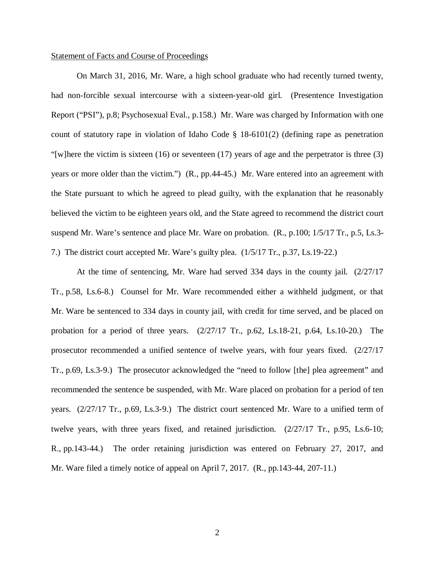#### Statement of Facts and Course of Proceedings

On March 31, 2016, Mr. Ware, a high school graduate who had recently turned twenty, had non-forcible sexual intercourse with a sixteen-year-old girl. (Presentence Investigation Report ("PSI"), p.8; Psychosexual Eval., p.158.) Mr. Ware was charged by Information with one count of statutory rape in violation of Idaho Code § 18-6101(2) (defining rape as penetration "[w]here the victim is sixteen (16) or seventeen (17) years of age and the perpetrator is three (3) years or more older than the victim.") (R., pp.44-45.) Mr. Ware entered into an agreement with the State pursuant to which he agreed to plead guilty, with the explanation that he reasonably believed the victim to be eighteen years old, and the State agreed to recommend the district court suspend Mr. Ware's sentence and place Mr. Ware on probation. (R., p.100; 1/5/17 Tr., p.5, Ls.3- 7.) The district court accepted Mr. Ware's guilty plea. (1/5/17 Tr., p.37, Ls.19-22.)

At the time of sentencing, Mr. Ware had served 334 days in the county jail. (2/27/17 Tr., p.58, Ls.6-8.) Counsel for Mr. Ware recommended either a withheld judgment, or that Mr. Ware be sentenced to 334 days in county jail, with credit for time served, and be placed on probation for a period of three years. (2/27/17 Tr., p.62, Ls.18-21, p.64, Ls.10-20.) The prosecutor recommended a unified sentence of twelve years, with four years fixed. (2/27/17 Tr., p.69, Ls.3-9.) The prosecutor acknowledged the "need to follow [the] plea agreement" and recommended the sentence be suspended, with Mr. Ware placed on probation for a period of ten years. (2/27/17 Tr., p.69, Ls.3-9.) The district court sentenced Mr. Ware to a unified term of twelve years, with three years fixed, and retained jurisdiction. (2/27/17 Tr., p.95, Ls.6-10; R., pp.143-44.) The order retaining jurisdiction was entered on February 27, 2017, and Mr. Ware filed a timely notice of appeal on April 7, 2017. (R., pp.143-44, 207-11.)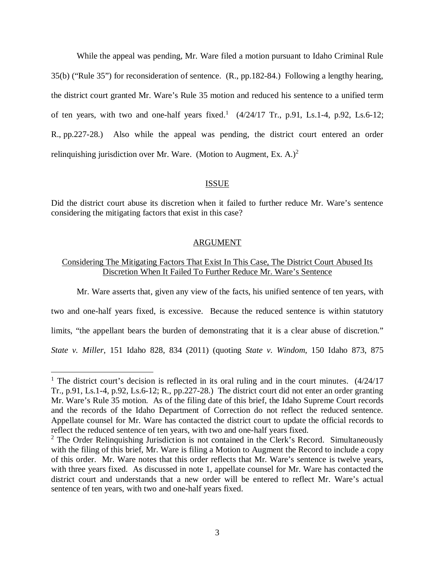While the appeal was pending, Mr. Ware filed a motion pursuant to Idaho Criminal Rule 35(b) ("Rule 35") for reconsideration of sentence. (R., pp.182-84.) Following a lengthy hearing, the district court granted Mr. Ware's Rule 35 motion and reduced his sentence to a unified term of ten years, with two and one-half years fixed.<sup>[1](#page-3-0)</sup>  $(4/24/17$  Tr., p.91, Ls.1-4, p.92, Ls.6-12; R., pp.227-28.) Also while the appeal was pending, the district court entered an order relinguishing jurisdiction over Mr. Ware. (Motion to Augment, Ex. A.)<sup>[2](#page-3-1)</sup>

#### ISSUE

Did the district court abuse its discretion when it failed to further reduce Mr. Ware's sentence considering the mitigating factors that exist in this case?

#### ARGUMENT

### Considering The Mitigating Factors That Exist In This Case, The District Court Abused Its Discretion When It Failed To Further Reduce Mr. Ware's Sentence

Mr. Ware asserts that, given any view of the facts, his unified sentence of ten years, with

two and one-half years fixed, is excessive. Because the reduced sentence is within statutory

limits, "the appellant bears the burden of demonstrating that it is a clear abuse of discretion."

*State v. Miller*, 151 Idaho 828, 834 (2011) (quoting *State v. Windom*, 150 Idaho 873, 875

<span id="page-3-0"></span><sup>&</sup>lt;sup>1</sup> The district court's decision is reflected in its oral ruling and in the court minutes. (4/24/17 Tr., p.91, Ls.1-4, p.92, Ls.6-12; R., pp.227-28.) The district court did not enter an order granting Mr. Ware's Rule 35 motion. As of the filing date of this brief, the Idaho Supreme Court records and the records of the Idaho Department of Correction do not reflect the reduced sentence. Appellate counsel for Mr. Ware has contacted the district court to update the official records to reflect the reduced sentence of ten years, with two and one-half years fixed.

<span id="page-3-1"></span><sup>&</sup>lt;sup>2</sup> The Order Relinquishing Jurisdiction is not contained in the Clerk's Record. Simultaneously with the filing of this brief, Mr. Ware is filing a Motion to Augment the Record to include a copy of this order. Mr. Ware notes that this order reflects that Mr. Ware's sentence is twelve years, with three years fixed. As discussed in note 1, appellate counsel for Mr. Ware has contacted the district court and understands that a new order will be entered to reflect Mr. Ware's actual sentence of ten years, with two and one-half years fixed.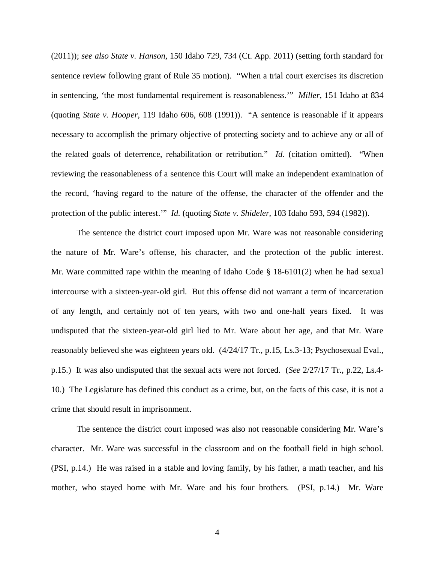(2011)); *see also State v. Hanson*, 150 Idaho 729, 734 (Ct. App. 2011) (setting forth standard for sentence review following grant of Rule 35 motion). "When a trial court exercises its discretion in sentencing, 'the most fundamental requirement is reasonableness.'" *Miller*, 151 Idaho at 834 (quoting *State v. Hooper*, 119 Idaho 606, 608 (1991)). "A sentence is reasonable if it appears necessary to accomplish the primary objective of protecting society and to achieve any or all of the related goals of deterrence, rehabilitation or retribution." *Id.* (citation omitted). "When reviewing the reasonableness of a sentence this Court will make an independent examination of the record, 'having regard to the nature of the offense, the character of the offender and the protection of the public interest.'" *Id.* (quoting *State v. Shideler*, 103 Idaho 593, 594 (1982)).

The sentence the district court imposed upon Mr. Ware was not reasonable considering the nature of Mr. Ware's offense, his character, and the protection of the public interest. Mr. Ware committed rape within the meaning of Idaho Code § 18-6101(2) when he had sexual intercourse with a sixteen-year-old girl. But this offense did not warrant a term of incarceration of any length, and certainly not of ten years, with two and one-half years fixed. It was undisputed that the sixteen-year-old girl lied to Mr. Ware about her age, and that Mr. Ware reasonably believed she was eighteen years old. (4/24/17 Tr., p.15, Ls.3-13; Psychosexual Eval., p.15.) It was also undisputed that the sexual acts were not forced. (*See* 2/27/17 Tr., p.22, Ls.4- 10.) The Legislature has defined this conduct as a crime, but, on the facts of this case, it is not a crime that should result in imprisonment.

The sentence the district court imposed was also not reasonable considering Mr. Ware's character. Mr. Ware was successful in the classroom and on the football field in high school. (PSI, p.14.) He was raised in a stable and loving family, by his father, a math teacher, and his mother, who stayed home with Mr. Ware and his four brothers. (PSI, p.14.) Mr. Ware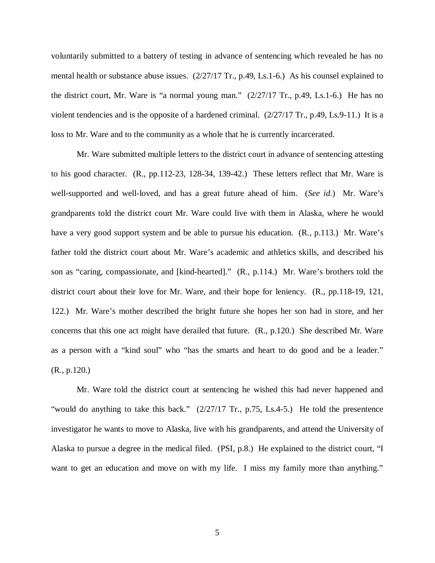voluntarily submitted to a battery of testing in advance of sentencing which revealed he has no mental health or substance abuse issues. (2/27/17 Tr., p.49, Ls.1-6.) As his counsel explained to the district court, Mr. Ware is "a normal young man." (2/27/17 Tr., p.49, Ls.1-6.) He has no violent tendencies and is the opposite of a hardened criminal.  $(2/27/17 \text{ Tr}$ , p.49, Ls.9-11.) It is a loss to Mr. Ware and to the community as a whole that he is currently incarcerated.

Mr. Ware submitted multiple letters to the district court in advance of sentencing attesting to his good character. (R., pp.112-23, 128-34, 139-42.) These letters reflect that Mr. Ware is well-supported and well-loved, and has a great future ahead of him. (*See id.*) Mr. Ware's grandparents told the district court Mr. Ware could live with them in Alaska, where he would have a very good support system and be able to pursue his education. (R., p.113.) Mr. Ware's father told the district court about Mr. Ware's academic and athletics skills, and described his son as "caring, compassionate, and [kind-hearted]." (R., p.114.) Mr. Ware's brothers told the district court about their love for Mr. Ware, and their hope for leniency. (R., pp.118-19, 121, 122.) Mr. Ware's mother described the bright future she hopes her son had in store, and her concerns that this one act might have derailed that future. (R., p.120.) She described Mr. Ware as a person with a "kind soul" who "has the smarts and heart to do good and be a leader." (R., p.120.)

Mr. Ware told the district court at sentencing he wished this had never happened and "would do anything to take this back." (2/27/17 Tr., p.75, Ls.4-5.) He told the presentence investigator he wants to move to Alaska, live with his grandparents, and attend the University of Alaska to pursue a degree in the medical filed. (PSI, p.8.) He explained to the district court, "I want to get an education and move on with my life. I miss my family more than anything."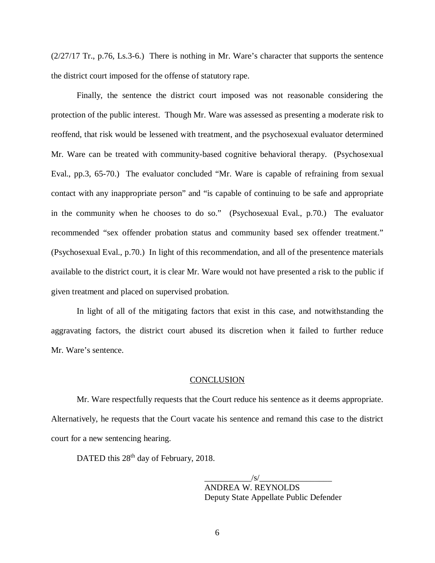(2/27/17 Tr., p.76, Ls.3-6.) There is nothing in Mr. Ware's character that supports the sentence the district court imposed for the offense of statutory rape.

Finally, the sentence the district court imposed was not reasonable considering the protection of the public interest. Though Mr. Ware was assessed as presenting a moderate risk to reoffend, that risk would be lessened with treatment, and the psychosexual evaluator determined Mr. Ware can be treated with community-based cognitive behavioral therapy. (Psychosexual Eval., pp.3, 65-70.) The evaluator concluded "Mr. Ware is capable of refraining from sexual contact with any inappropriate person" and "is capable of continuing to be safe and appropriate in the community when he chooses to do so." (Psychosexual Eval., p.70.) The evaluator recommended "sex offender probation status and community based sex offender treatment." (Psychosexual Eval., p.70.) In light of this recommendation, and all of the presentence materials available to the district court, it is clear Mr. Ware would not have presented a risk to the public if given treatment and placed on supervised probation.

In light of all of the mitigating factors that exist in this case, and notwithstanding the aggravating factors, the district court abused its discretion when it failed to further reduce Mr. Ware's sentence.

#### **CONCLUSION**

Mr. Ware respectfully requests that the Court reduce his sentence as it deems appropriate. Alternatively, he requests that the Court vacate his sentence and remand this case to the district court for a new sentencing hearing.

DATED this 28<sup>th</sup> day of February, 2018.

 $\frac{1}{s}$  /s/ $\frac{1}{s}$ ANDREA W. REYNOLDS Deputy State Appellate Public Defender